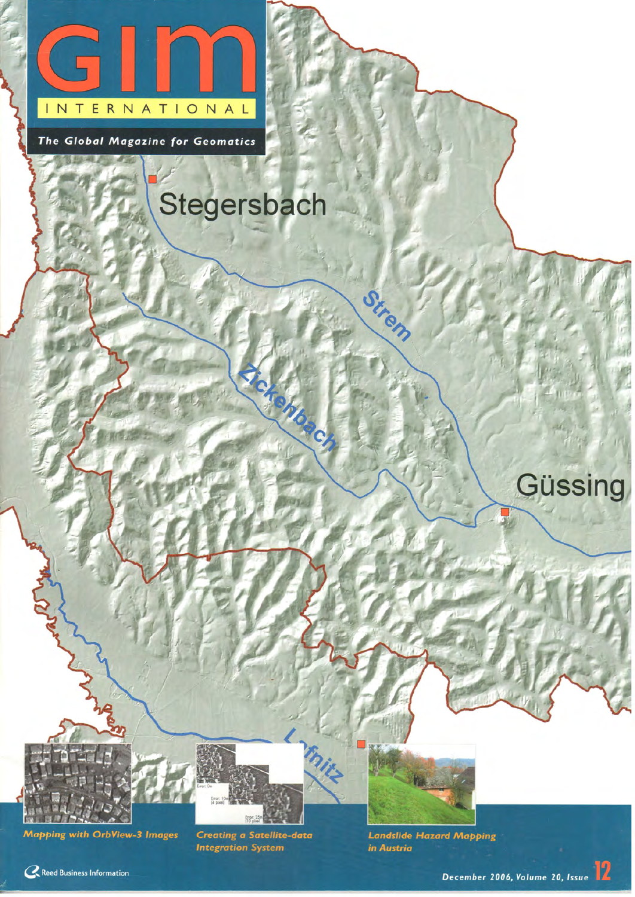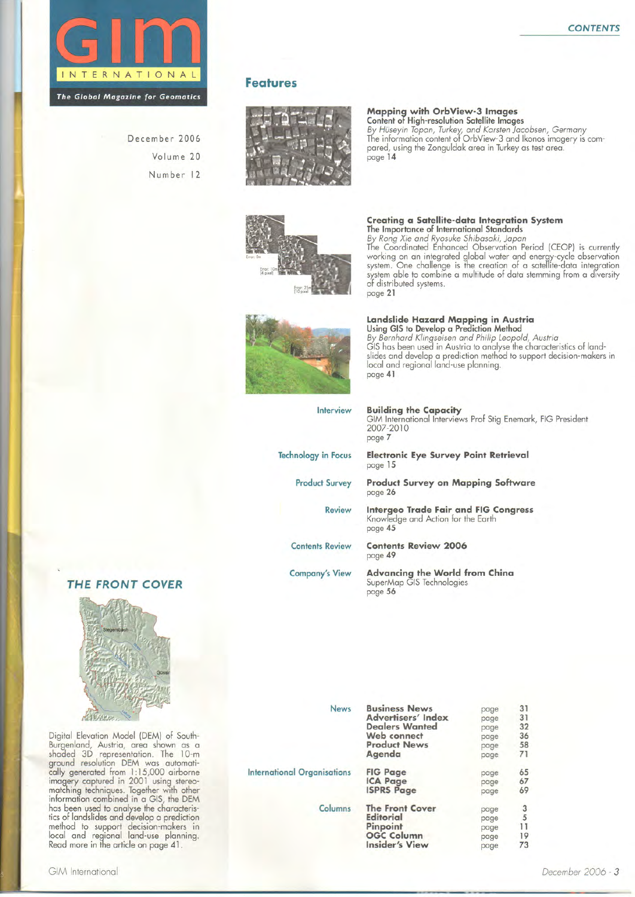

December 2006 Volume 20 Number 12

#### **Features**





Creating a Satellite-data Integration System



## Landslide Hazard Mapping in Austria<br>Using GIS to Develop a Prediction Method

of distributed systems.

page 21

By Bernhard Klingseisen and Philip Leopold, Austria<br>GIS has been used in Austria to analyse the characteristics of landslides and develop a prediction method to support decision-makers in<br>local and regional land-use planning. page 41

The Importance of International Standards<br>By Rong Xie and Ryosuke Shibasaki, Japan<br>The Coordinated Enhanced Observation Period (CEOP) is currently

working on an integrated global water and energy-cycle observation<br>system. One challenge is the creation of a satellite-data integration system able to combine a multitude of data stemming from a diversity

| Interview                  | <b>Building the Capacity</b><br>GIM International Interviews Prof Stig Enemark, FIG President<br>2007-2010<br>page 7 |
|----------------------------|----------------------------------------------------------------------------------------------------------------------|
| <b>Technology in Focus</b> | <b>Electronic Eye Survey Point Retrieval</b><br>page 15                                                              |
| <b>Product Survey</b>      | <b>Product Survey on Mapping Software</b><br>page 26                                                                 |
| <b>Review</b>              | <b>Intergeo Trade Fair and FIG Congress</b><br>Knowledge and Action for the Earth<br>page 45                         |
| <b>Contents Review</b>     | <b>Contents Review 2006</b><br>page 49                                                                               |
| <b>Company's View</b>      | <b>Advancing the World from China</b><br>SuperMap GIS Technologies<br>page 56                                        |



#### THE FRONT COVER



Digital Elevation Model (DEM) of South-Digital Elevation Model (DEM) of South-<br>Burgenland, Austria, area shown as a<br>shaded 3D representation. The 10-m<br>ground resolution DEM was automatically generated from 1:15,000 airborne<br>imagery captured in 2001 using stereo has been used to analyse the characteris-<br>tics of landslides and develop a prediction method to support decision-makers in<br>local and regional land-use planning.<br>Read more in the article on page 41.

| <b>News</b>                        | <b>Business News</b>      | page | 31 |
|------------------------------------|---------------------------|------|----|
|                                    | <b>Advertisers' Index</b> | page | 31 |
|                                    | <b>Dealers Wanted</b>     | page | 32 |
|                                    | Web connect               | page | 36 |
|                                    | <b>Product News</b>       | page | 58 |
|                                    | Agenda                    | page | 71 |
| <b>International Organisations</b> | <b>FIG Page</b>           | page | 65 |
|                                    | <b>ICA Page</b>           | page | 67 |
|                                    | <b>ISPRS Page</b>         | page | 69 |
| Columns                            | <b>The Front Cover</b>    | page | 3  |
|                                    | <b>Editorial</b>          | page | 5  |
|                                    | Pinpoint                  | page | 11 |
|                                    | <b>OGC Column</b>         | page | 19 |
|                                    | <b>Insider's View</b>     | page | 73 |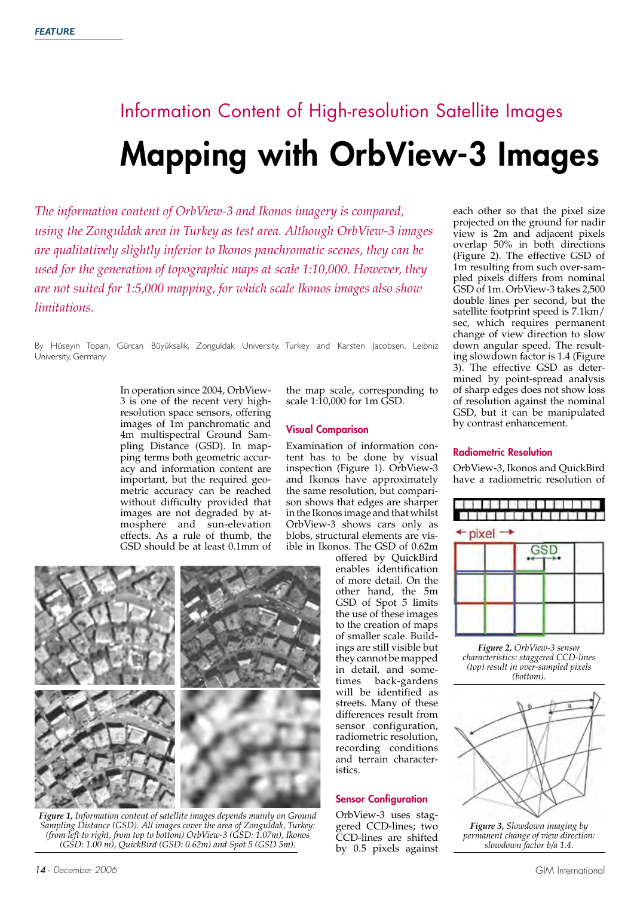# Information Content of High-resolution Satellite Images Mapping with OrbView-3 Images

*The information content of OrbView-3 and Ikonos imagery is compared, using the Zonguldak area in Turkey as test area. Although OrbView-3 images are qualitatively slightly inferior to Ikonos panchromatic scenes, they can be used for the generation of topographic maps at scale 1:10,000. However, they are not suited for 1:5,000 mapping, for which scale Ikonos images also show limitations.*

By Hüseyin Topan, Gürcan Büyüksalik, Zonguldak University, Turkey and Karsten Jacobsen, Leibniz University, Germany

> In operation since 2004, OrbView-3 is one of the recent very highresolution space sensors, offering images of 1m panchromatic and 4m multispectral Ground Sampling Distance (GSD). In mapping terms both geometric accuracy and information content are important, but the required geometric accuracy can be reached without difficulty provided that images are not degraded by atmosphere and sun-elevation effects. As a rule of thumb, the GSD should be at least 0.1mm of

the map scale, corresponding to scale 1:10,000 for 1m GSD.

#### Visual Comparison

Examination of information content has to be done by visual inspection (Figure 1). OrbView-3 and Ikonos have approximately the same resolution, but comparison shows that edges are sharper in the Ikonos image and that whilst OrbView-3 shows cars only as blobs, structural elements are visible in Ikonos. The GSD of 0.62m

*Figure 1, Information content of satellite images depends mainly on Ground Sampling Distance (GSD). All images cover the area of Zonguldak, Turkey: (from left to right, from top to bottom) OrbView-3 (GSD: 1.07m), Ikonos (GSD: 1.00 m), QuickBird (GSD: 0.62m) and Spot 5 (GSD 5m).* 

offered by QuickBird enables identification of more detail. On the other hand, the 5m GSD of Spot 5 limits the use of these images to the creation of maps of smaller scale. Buildings are still visible but they cannot be mapped in detail, and sometimes back-gardens will be identified as streets. Many of these differences result from sensor configuration, radiometric resolution, recording conditions and terrain characteristics.

#### Sensor Configuration

OrbView-3 uses staggered CCD-lines; two CCD-lines are shifted by 0.5 pixels against each other so that the pixel size projected on the ground for nadir view is 2m and adjacent pixels overlap 50% in both directions (Figure 2). The effective GSD of 1m resulting from such over-sampled pixels differs from nominal GSD of 1m. OrbView-3 takes 2,500 double lines per second, but the satellite footprint speed is 7.1km/ sec, which requires permanent change of view direction to slow down angular speed. The resulting slowdown factor is 1.4 (Figure 3). The effective GSD as determined by point-spread analysis of sharp edges does not show loss of resolution against the nominal GSD, but it can be manipulated by contrast enhancement.

#### Radiometric Resolution

OrbView-3, Ikonos and QuickBird have a radiometric resolution of



*Figure 2, OrbView-3 sensor characteristics: staggered CCD-lines (top) result in over-sampled pixels (bottom).*



*Figure 3, Slowdown imaging by permanent change of view direction: slowdown factor b/a 1.4.*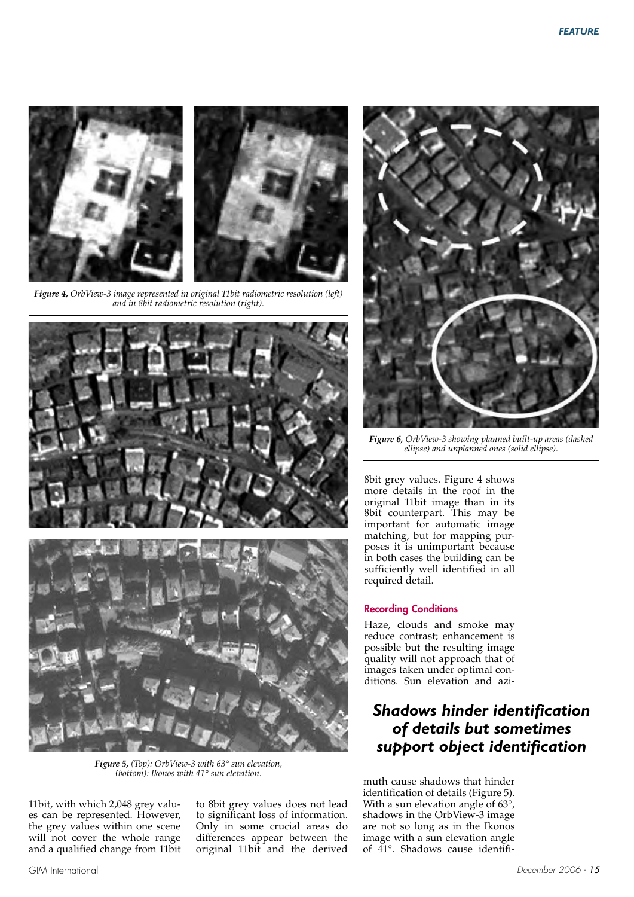

*Figure 4, OrbView-3 image represented in original 11bit radiometric resolution (left) and in 8bit radiometric resolution (right).*



*Figure 5, (Top): OrbView-3 with 63° sun elevation, (bottom): Ikonos with 41° sun elevation.*

11bit, with which 2,048 grey values can be represented. However, the grey values within one scene will not cover the whole range and a qualified change from 11bit to 8bit grey values does not lead to significant loss of information. Only in some crucial areas do differences appear between the original 11bit and the derived



*Figure 6, OrbView-3 showing planned built-up areas (dashed ellipse) and unplanned ones (solid ellipse).* 

8bit grey values. Figure 4 shows more details in the roof in the original 11bit image than in its 8bit counterpart. This may be important for automatic image matching, but for mapping purposes it is unimportant because in both cases the building can be sufficiently well identified in all required detail.

#### Recording Conditions

Haze, clouds and smoke may reduce contrast; enhancement is possible but the resulting image quality will not approach that of images taken under optimal conditions. Sun elevation and azi-

### *Shadows hinder identification of details but sometimes support object identification*

muth cause shadows that hinder identification of details (Figure 5). With a sun elevation angle of 63°, shadows in the OrbView-3 image are not so long as in the Ikonos image with a sun elevation angle of 41°. Shadows cause identifi-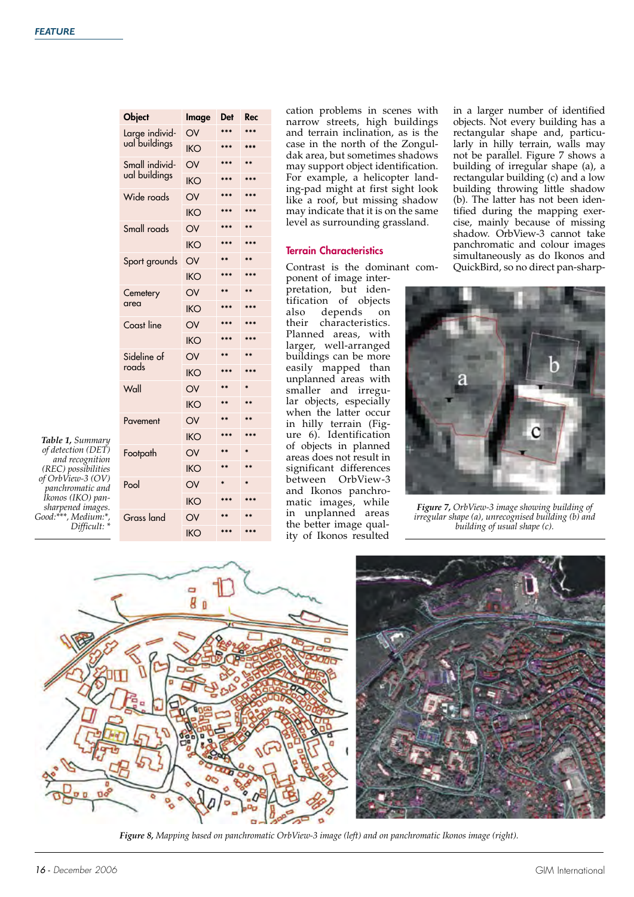| <b>Object</b>     | Image      | Det             | Rec     |
|-------------------|------------|-----------------|---------|
| Large individ-    | OV         | ***             | ***     |
| ual buildings     | <b>IKO</b> | ***             | ***     |
| Small individ-    | OV         | ***             |         |
| ual buildings     | <b>IKO</b> | ***             | ***     |
| Wide roads        | OV         | ***             | ***     |
|                   | <b>IKO</b> | ***             | ***     |
| Small roads       | OV         | ***             | ÷÷      |
|                   | IKO        | ***             | ***     |
| Sport grounds     | OV         | **              | $**$    |
|                   | <b>IKO</b> | ***             | ***     |
| Cemetery          | OV         | ÷÷              | نه به   |
| area              | <b>IKO</b> | ***             | ***     |
| Coast line        | OV         | k sk sk         | $\cdot$ |
|                   | <b>IKO</b> | $***$           | ***     |
| Sideline of       | OV         | $**$            | نه به   |
| roads             | <b>IKO</b> | ***             | ***     |
| Wall              | OV         | $**$            | ý.      |
|                   | <b>IKO</b> | $**$            | $**$    |
| Pavement          | OV         | ÷ ÷             | $**$    |
|                   | <b>IKO</b> | ***             | ***     |
| Footpath          | OV         | $\star$ $\star$ |         |
|                   | <b>IKO</b> | $**$            | $***$   |
| Pool              | OV         |                 |         |
|                   | <b>IKO</b> | ***             | $***$   |
| <b>Grass land</b> | OV         |                 |         |
|                   | IKO        | ***             | ***     |

*Table 1, Summary of detection (DET) and recognition (REC) possibilities of OrbView-3 (OV) panchromatic and Ikonos (IKO) pansharpened images. Good:\*\*\*, Medium:\*, Difficult: \**

cation problems in scenes with narrow streets, high buildings and terrain inclination, as is the case in the north of the Zonguldak area, but sometimes shadows may support object identification. For example, a helicopter landing-pad might at first sight look like a roof, but missing shadow may indicate that it is on the same level as surrounding grassland.

#### Terrain Characteristics

Contrast is the dominant com-

ponent of image interpretation, but identification of objects also depends on their characteristics. Planned areas, with larger, well-arranged buildings can be more easily mapped than unplanned areas with smaller and irregular objects, especially when the latter occur in hilly terrain (Figure 6). Identification of objects in planned areas does not result in significant differences between OrbView-3 and Ikonos panchromatic images, while in unplanned areas the better image quality of Ikonos resulted

in a larger number of identified objects. Not every building has a rectangular shape and, particularly in hilly terrain, walls may not be parallel. Figure 7 shows a building of irregular shape (a), a rectangular building (c) and a low building throwing little shadow (b). The latter has not been identified during the mapping exercise, mainly because of missing shadow. OrbView-3 cannot take panchromatic and colour images simultaneously as do Ikonos and QuickBird, so no direct pan-sharp-



*Figure 7, OrbView-3 image showing building of irregular shape (a), unrecognised building (b) and building of usual shape (c).*





*Figure 8, Mapping based on panchromatic OrbView-3 image (left) and on panchromatic Ikonos image (right).*